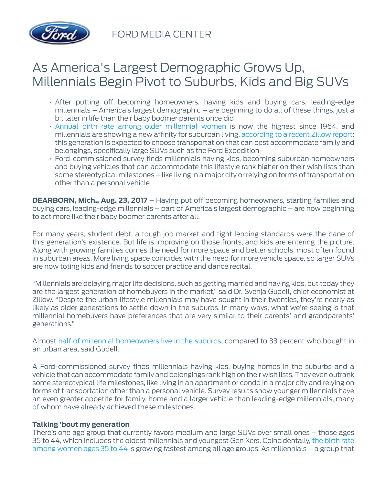

FORD MEDIA CENTER

## As America's Largest Demographic Grows Up, Millennials Begin Pivot to Suburbs, Kids and Big SUVs

- After putting off becoming homeowners, having kids and buying cars, leading-edge millennials – America's largest demographic – are beginning to do all of these things, just a bit later in life than their baby boomer parents once did
- Annual birth rate among older millennial women is now the highest since 1964, and millennials are showing a new affinity for suburban living, [according to a recent Zillow report;](http://zillow.mediaroom.com/2017-03-01-Millennials-Buying-in-the-Suburbs) this generation is expected to choose transportation that can best accommodate family and belongings, specifically large SUVs such as the Ford Expedition
- Ford-commissioned survey finds millennials having kids, becoming suburban homeowners and buying vehicles that can accommodate this lifestyle rank higher on their wish lists than some stereotypical milestones – like living in a major city or relying on forms of transportation other than a personal vehicle

**DEARBORN, Mich., Aug. 23, 2017** – Having put off becoming homeowners, starting families and buying cars, leading-edge millennials – part of America's largest demographic – are now beginning to act more like their baby boomer parents after all.

For many years, student debt, a tough job market and tight lending standards were the bane of this generation's existence. But life is improving on those fronts, and kids are entering the picture. Along with growing families comes the need for more space and better schools, most often found in suburban areas. More living space coincides with the need for more vehicle space, so larger SUVs are now toting kids and friends to soccer practice and dance recital.

"Millennials are delaying major life decisions, such as getting married and having kids, but today they are the largest generation of homebuyers in the market," said Dr. Svenja Gudell, chief economist at Zillow. "Despite the urban lifestyle millennials may have sought in their twenties, they're nearly as likely as older generations to settle down in the suburbs. In many ways, what we're seeing is that millennial homebuyers have preferences that are very similar to their parents' and grandparents' generations."

Almost [half of millennial homeowners live in the suburbs](http://zillow.mediaroom.com/2017-03-01-Millennials-Buying-in-the-Suburbs), compared to 33 percent who bought in an urban area, said Gudell.

A Ford-commissioned survey finds millennials having kids, buying homes in the suburbs and a vehicle that can accommodate family and belongings rank high on their wish lists. They even outrank some stereotypical life milestones, like living in an apartment or condo in a major city and relying on forms of transportation other than a personal vehicle. Survey results show younger millennials have an even greater appetite for family, home and a larger vehicle than leading-edge millennials, many of whom have already achieved these milestones.

## **Talking 'bout my generation**

There's one age group that currently favors medium and large SUVs over small ones – those ages 35 to 44, which includes the oldest millennials and youngest Gen Xers. Coincidentally, the birth rate among women ages 35 to 44 is growing fastest among all age groups. As millennials – a group that